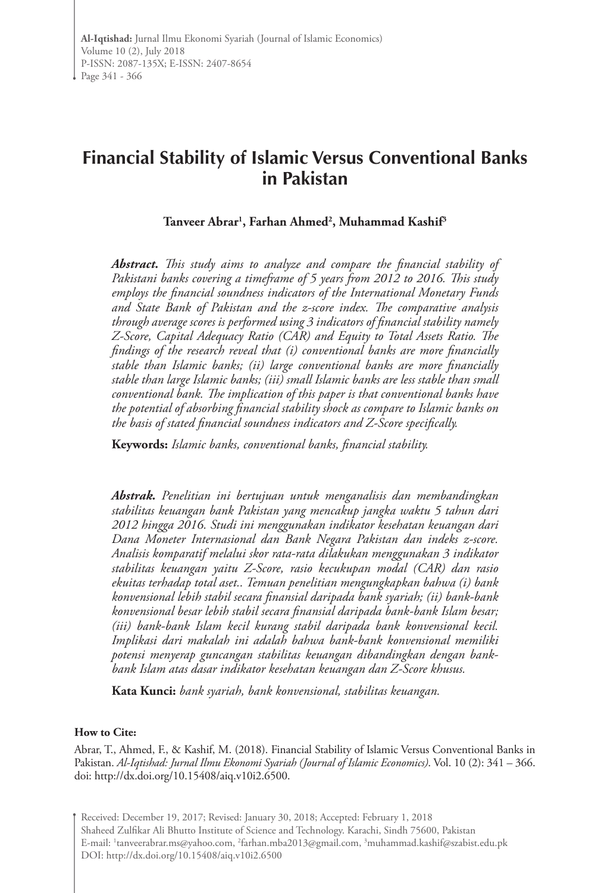# **Financial Stability of Islamic Versus Conventional Banks in Pakistan**

## **Tanveer Abrar1 , Farhan Ahmed2 , Muhammad Kashif3**

*Abstract. This study aims to analyze and compare the financial stability of Pakistani banks covering a timeframe of 5 years from 2012 to 2016. This study employs the financial soundness indicators of the International Monetary Funds and State Bank of Pakistan and the z-score index. The comparative analysis through average scores is performed using 3 indicators of financial stability namely Z-Score, Capital Adequacy Ratio (CAR) and Equity to Total Assets Ratio. The findings of the research reveal that (i) conventional banks are more financially stable than Islamic banks; (ii) large conventional banks are more financially stable than large Islamic banks; (iii) small Islamic banks are less stable than small conventional bank. The implication of this paper is that conventional banks have the potential of absorbing financial stability shock as compare to Islamic banks on the basis of stated financial soundness indicators and Z-Score specifically.*

**Keywords:** *Islamic banks, conventional banks, financial stability.*

*Abstrak. Penelitian ini bertujuan untuk menganalisis dan membandingkan stabilitas keuangan bank Pakistan yang mencakup jangka waktu 5 tahun dari 2012 hingga 2016. Studi ini menggunakan indikator kesehatan keuangan dari Dana Moneter Internasional dan Bank Negara Pakistan dan indeks z-score. Analisis komparatif melalui skor rata-rata dilakukan menggunakan 3 indikator stabilitas keuangan yaitu Z-Score, rasio kecukupan modal (CAR) dan rasio ekuitas terhadap total aset.. Temuan penelitian mengungkapkan bahwa (i) bank konvensional lebih stabil secara finansial daripada bank syariah; (ii) bank-bank konvensional besar lebih stabil secara finansial daripada bank-bank Islam besar; (iii) bank-bank Islam kecil kurang stabil daripada bank konvensional kecil. Implikasi dari makalah ini adalah bahwa bank-bank konvensional memiliki potensi menyerap guncangan stabilitas keuangan dibandingkan dengan bankbank Islam atas dasar indikator kesehatan keuangan dan Z-Score khusus.*

**Kata Kunci:** *bank syariah, bank konvensional, stabilitas keuangan.*

#### **How to Cite:**

Abrar, T., Ahmed, F., & Kashif, M. (2018). Financial Stability of Islamic Versus Conventional Banks in Pakistan. *Al-Iqtishad: Jurnal Ilmu Ekonomi Syariah (Journal of Islamic Economics)*. Vol. 10 (2): 341 – 366. doi: http://dx.doi.org/10.15408/aiq.v10i2.6500.

Received: December 19, 2017; Revised: January 30, 2018; Accepted: February 1, 2018 Shaheed Zulfikar Ali Bhutto Institute of Science and Technology. Karachi, Sindh 75600, Pakistan E-mail: 'tanveerabrar.ms@yahoo.com, 'farhan.mba2013@gmail.com, 'muhammad.kashif@szabist.edu.pk DOI: http://dx.doi.org/10.15408/aiq.v10i2.6500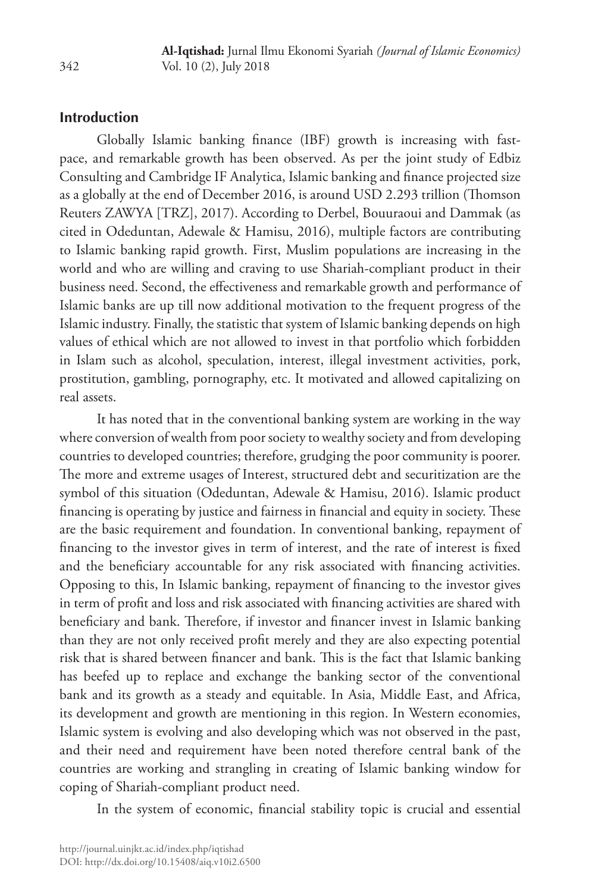## **Introduction**

Globally Islamic banking finance (IBF) growth is increasing with fastpace, and remarkable growth has been observed. As per the joint study of Edbiz Consulting and Cambridge IF Analytica, Islamic banking and finance projected size as a globally at the end of December 2016, is around USD 2.293 trillion (Thomson Reuters ZAWYA [TRZ], 2017). According to Derbel, Bouuraoui and Dammak (as cited in Odeduntan, Adewale & Hamisu, 2016), multiple factors are contributing to Islamic banking rapid growth. First, Muslim populations are increasing in the world and who are willing and craving to use Shariah-compliant product in their business need. Second, the effectiveness and remarkable growth and performance of Islamic banks are up till now additional motivation to the frequent progress of the Islamic industry. Finally, the statistic that system of Islamic banking depends on high values of ethical which are not allowed to invest in that portfolio which forbidden in Islam such as alcohol, speculation, interest, illegal investment activities, pork, prostitution, gambling, pornography, etc. It motivated and allowed capitalizing on real assets.

It has noted that in the conventional banking system are working in the way where conversion of wealth from poor society to wealthy society and from developing countries to developed countries; therefore, grudging the poor community is poorer. The more and extreme usages of Interest, structured debt and securitization are the symbol of this situation (Odeduntan, Adewale & Hamisu, 2016). Islamic product financing is operating by justice and fairness in financial and equity in society. These are the basic requirement and foundation. In conventional banking, repayment of financing to the investor gives in term of interest, and the rate of interest is fixed and the beneficiary accountable for any risk associated with financing activities. Opposing to this, In Islamic banking, repayment of financing to the investor gives in term of profit and loss and risk associated with financing activities are shared with beneficiary and bank. Therefore, if investor and financer invest in Islamic banking than they are not only received profit merely and they are also expecting potential risk that is shared between financer and bank. This is the fact that Islamic banking has beefed up to replace and exchange the banking sector of the conventional bank and its growth as a steady and equitable. In Asia, Middle East, and Africa, its development and growth are mentioning in this region. In Western economies, Islamic system is evolving and also developing which was not observed in the past, and their need and requirement have been noted therefore central bank of the countries are working and strangling in creating of Islamic banking window for coping of Shariah-compliant product need.

In the system of economic, financial stability topic is crucial and essential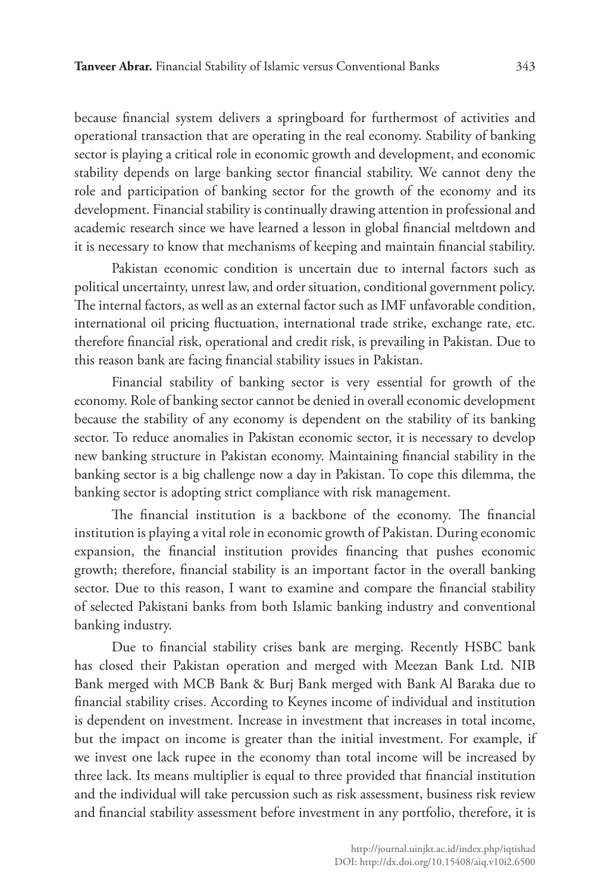because financial system delivers a springboard for furthermost of activities and operational transaction that are operating in the real economy. Stability of banking sector is playing a critical role in economic growth and development, and economic stability depends on large banking sector financial stability. We cannot deny the role and participation of banking sector for the growth of the economy and its development. Financial stability is continually drawing attention in professional and academic research since we have learned a lesson in global financial meltdown and it is necessary to know that mechanisms of keeping and maintain financial stability.

Pakistan economic condition is uncertain due to internal factors such as political uncertainty, unrest law, and order situation, conditional government policy. The internal factors, as well as an external factor such as IMF unfavorable condition, international oil pricing fluctuation, international trade strike, exchange rate, etc. therefore financial risk, operational and credit risk, is prevailing in Pakistan. Due to this reason bank are facing financial stability issues in Pakistan.

Financial stability of banking sector is very essential for growth of the economy. Role of banking sector cannot be denied in overall economic development because the stability of any economy is dependent on the stability of its banking sector. To reduce anomalies in Pakistan economic sector, it is necessary to develop new banking structure in Pakistan economy. Maintaining financial stability in the banking sector is a big challenge now a day in Pakistan. To cope this dilemma, the banking sector is adopting strict compliance with risk management.

The financial institution is a backbone of the economy. The financial institution is playing a vital role in economic growth of Pakistan. During economic expansion, the financial institution provides financing that pushes economic growth; therefore, financial stability is an important factor in the overall banking sector. Due to this reason, I want to examine and compare the financial stability of selected Pakistani banks from both Islamic banking industry and conventional banking industry.

Due to financial stability crises bank are merging. Recently HSBC bank has closed their Pakistan operation and merged with Meezan Bank Ltd. NIB Bank merged with MCB Bank & Burj Bank merged with Bank Al Baraka due to financial stability crises. According to Keynes income of individual and institution is dependent on investment. Increase in investment that increases in total income, but the impact on income is greater than the initial investment. For example, if we invest one lack rupee in the economy than total income will be increased by three lack. Its means multiplier is equal to three provided that financial institution and the individual will take percussion such as risk assessment, business risk review and financial stability assessment before investment in any portfolio, therefore, it is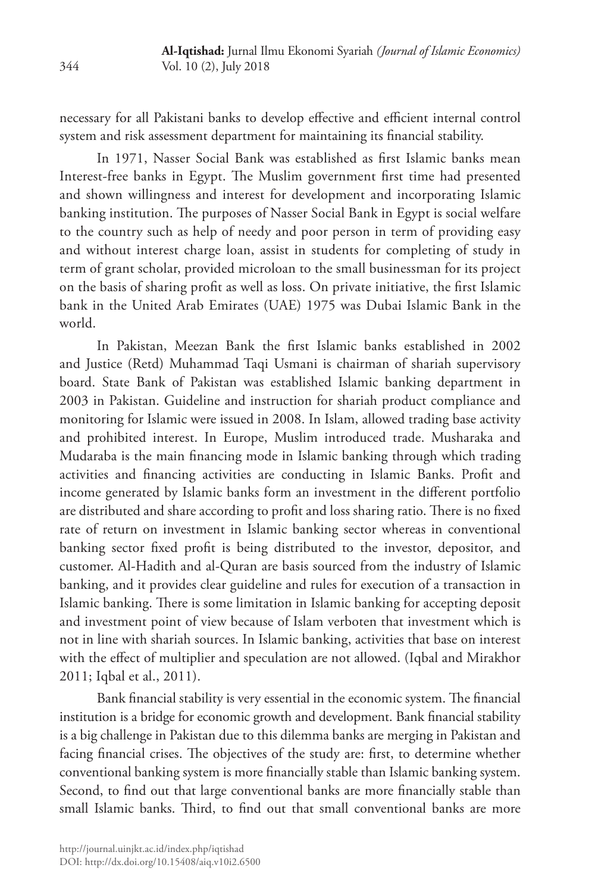necessary for all Pakistani banks to develop effective and efficient internal control system and risk assessment department for maintaining its financial stability.

In 1971, Nasser Social Bank was established as first Islamic banks mean Interest-free banks in Egypt. The Muslim government first time had presented and shown willingness and interest for development and incorporating Islamic banking institution. The purposes of Nasser Social Bank in Egypt is social welfare to the country such as help of needy and poor person in term of providing easy and without interest charge loan, assist in students for completing of study in term of grant scholar, provided microloan to the small businessman for its project on the basis of sharing profit as well as loss. On private initiative, the first Islamic bank in the United Arab Emirates (UAE) 1975 was Dubai Islamic Bank in the world.

In Pakistan, Meezan Bank the first Islamic banks established in 2002 and Justice (Retd) Muhammad Taqi Usmani is chairman of shariah supervisory board. State Bank of Pakistan was established Islamic banking department in 2003 in Pakistan. Guideline and instruction for shariah product compliance and monitoring for Islamic were issued in 2008. In Islam, allowed trading base activity and prohibited interest. In Europe, Muslim introduced trade. Musharaka and Mudaraba is the main financing mode in Islamic banking through which trading activities and financing activities are conducting in Islamic Banks. Profit and income generated by Islamic banks form an investment in the different portfolio are distributed and share according to profit and loss sharing ratio. There is no fixed rate of return on investment in Islamic banking sector whereas in conventional banking sector fixed profit is being distributed to the investor, depositor, and customer. Al-Hadith and al-Quran are basis sourced from the industry of Islamic banking, and it provides clear guideline and rules for execution of a transaction in Islamic banking. There is some limitation in Islamic banking for accepting deposit and investment point of view because of Islam verboten that investment which is not in line with shariah sources. In Islamic banking, activities that base on interest with the effect of multiplier and speculation are not allowed. (Iqbal and Mirakhor 2011; Iqbal et al., 2011).

Bank financial stability is very essential in the economic system. The financial institution is a bridge for economic growth and development. Bank financial stability is a big challenge in Pakistan due to this dilemma banks are merging in Pakistan and facing financial crises. The objectives of the study are: first, to determine whether conventional banking system is more financially stable than Islamic banking system. Second, to find out that large conventional banks are more financially stable than small Islamic banks. Third, to find out that small conventional banks are more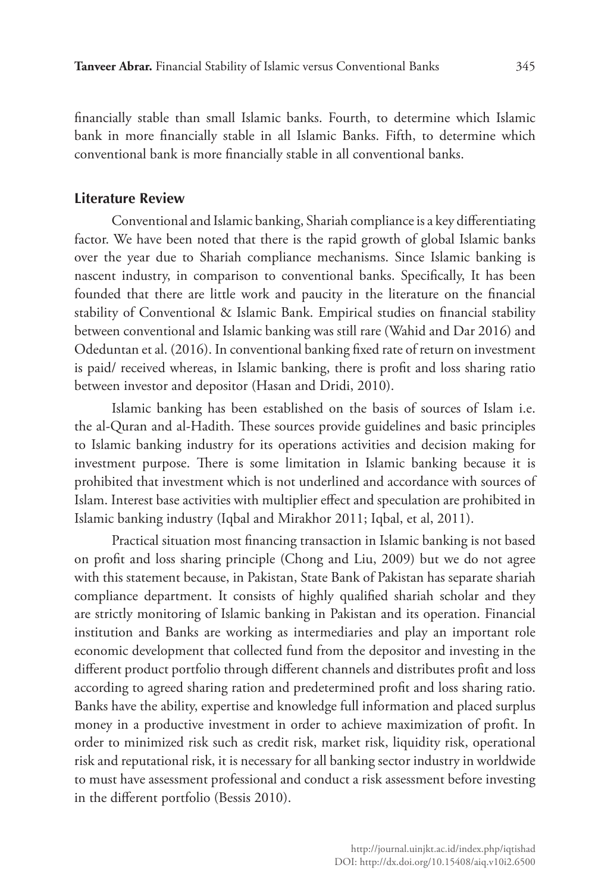financially stable than small Islamic banks. Fourth, to determine which Islamic bank in more financially stable in all Islamic Banks. Fifth, to determine which conventional bank is more financially stable in all conventional banks.

## **Literature Review**

Conventional and Islamic banking, Shariah compliance is a key differentiating factor. We have been noted that there is the rapid growth of global Islamic banks over the year due to Shariah compliance mechanisms. Since Islamic banking is nascent industry, in comparison to conventional banks. Specifically, It has been founded that there are little work and paucity in the literature on the financial stability of Conventional & Islamic Bank. Empirical studies on financial stability between conventional and Islamic banking was still rare (Wahid and Dar 2016) and Odeduntan et al. (2016). In conventional banking fixed rate of return on investment is paid/ received whereas, in Islamic banking, there is profit and loss sharing ratio between investor and depositor (Hasan and Dridi, 2010).

Islamic banking has been established on the basis of sources of Islam i.e. the al-Quran and al-Hadith. These sources provide guidelines and basic principles to Islamic banking industry for its operations activities and decision making for investment purpose. There is some limitation in Islamic banking because it is prohibited that investment which is not underlined and accordance with sources of Islam. Interest base activities with multiplier effect and speculation are prohibited in Islamic banking industry (Iqbal and Mirakhor 2011; Iqbal, et al, 2011).

Practical situation most financing transaction in Islamic banking is not based on profit and loss sharing principle (Chong and Liu, 2009) but we do not agree with this statement because, in Pakistan, State Bank of Pakistan has separate shariah compliance department. It consists of highly qualified shariah scholar and they are strictly monitoring of Islamic banking in Pakistan and its operation. Financial institution and Banks are working as intermediaries and play an important role economic development that collected fund from the depositor and investing in the different product portfolio through different channels and distributes profit and loss according to agreed sharing ration and predetermined profit and loss sharing ratio. Banks have the ability, expertise and knowledge full information and placed surplus money in a productive investment in order to achieve maximization of profit. In order to minimized risk such as credit risk, market risk, liquidity risk, operational risk and reputational risk, it is necessary for all banking sector industry in worldwide to must have assessment professional and conduct a risk assessment before investing in the different portfolio (Bessis 2010).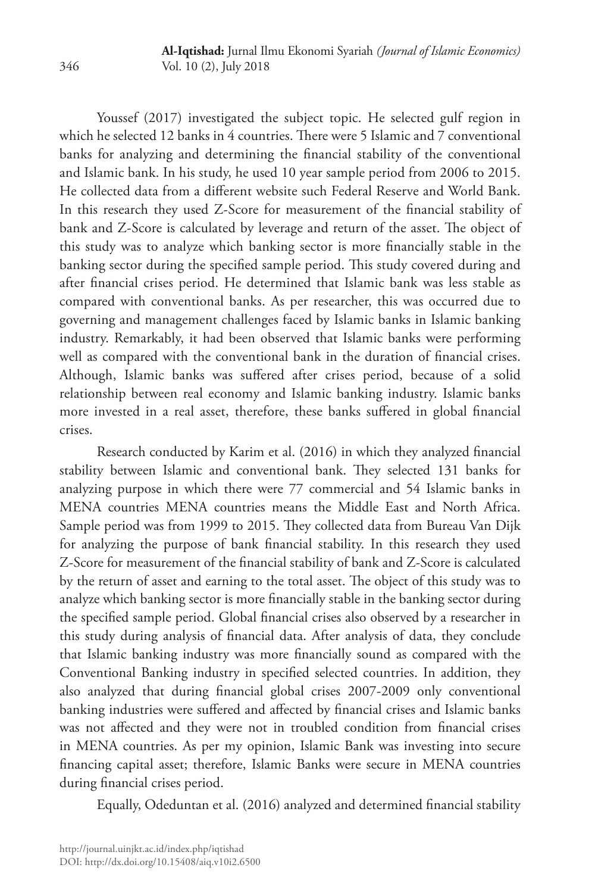Youssef (2017) investigated the subject topic. He selected gulf region in which he selected 12 banks in 4 countries. There were 5 Islamic and 7 conventional banks for analyzing and determining the financial stability of the conventional and Islamic bank. In his study, he used 10 year sample period from 2006 to 2015. He collected data from a different website such Federal Reserve and World Bank. In this research they used Z-Score for measurement of the financial stability of bank and Z-Score is calculated by leverage and return of the asset. The object of this study was to analyze which banking sector is more financially stable in the banking sector during the specified sample period. This study covered during and after financial crises period. He determined that Islamic bank was less stable as compared with conventional banks. As per researcher, this was occurred due to governing and management challenges faced by Islamic banks in Islamic banking industry. Remarkably, it had been observed that Islamic banks were performing well as compared with the conventional bank in the duration of financial crises. Although, Islamic banks was suffered after crises period, because of a solid relationship between real economy and Islamic banking industry. Islamic banks more invested in a real asset, therefore, these banks suffered in global financial crises.

Research conducted by Karim et al. (2016) in which they analyzed financial stability between Islamic and conventional bank. They selected 131 banks for analyzing purpose in which there were 77 commercial and 54 Islamic banks in MENA countries MENA countries means the Middle East and North Africa. Sample period was from 1999 to 2015. They collected data from Bureau Van Dijk for analyzing the purpose of bank financial stability. In this research they used Z-Score for measurement of the financial stability of bank and Z-Score is calculated by the return of asset and earning to the total asset. The object of this study was to analyze which banking sector is more financially stable in the banking sector during the specified sample period. Global financial crises also observed by a researcher in this study during analysis of financial data. After analysis of data, they conclude that Islamic banking industry was more financially sound as compared with the Conventional Banking industry in specified selected countries. In addition, they also analyzed that during financial global crises 2007-2009 only conventional banking industries were suffered and affected by financial crises and Islamic banks was not affected and they were not in troubled condition from financial crises in MENA countries. As per my opinion, Islamic Bank was investing into secure financing capital asset; therefore, Islamic Banks were secure in MENA countries during financial crises period.

Equally, Odeduntan et al. (2016) analyzed and determined financial stability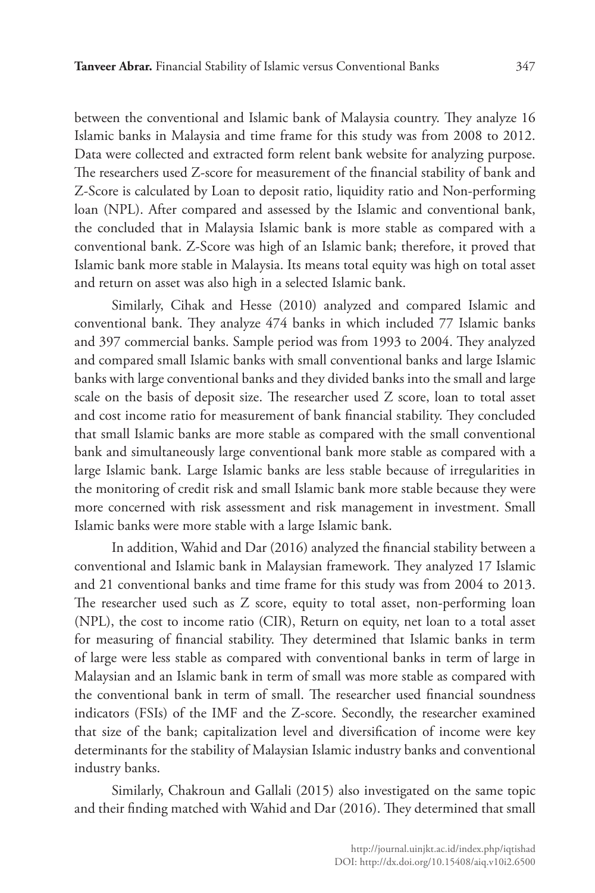between the conventional and Islamic bank of Malaysia country. They analyze 16 Islamic banks in Malaysia and time frame for this study was from 2008 to 2012. Data were collected and extracted form relent bank website for analyzing purpose. The researchers used Z-score for measurement of the financial stability of bank and Z-Score is calculated by Loan to deposit ratio, liquidity ratio and Non-performing loan (NPL). After compared and assessed by the Islamic and conventional bank, the concluded that in Malaysia Islamic bank is more stable as compared with a conventional bank. Z-Score was high of an Islamic bank; therefore, it proved that Islamic bank more stable in Malaysia. Its means total equity was high on total asset and return on asset was also high in a selected Islamic bank.

Similarly, Cihak and Hesse (2010) analyzed and compared Islamic and conventional bank. They analyze 474 banks in which included 77 Islamic banks and 397 commercial banks. Sample period was from 1993 to 2004. They analyzed and compared small Islamic banks with small conventional banks and large Islamic banks with large conventional banks and they divided banks into the small and large scale on the basis of deposit size. The researcher used Z score, loan to total asset and cost income ratio for measurement of bank financial stability. They concluded that small Islamic banks are more stable as compared with the small conventional bank and simultaneously large conventional bank more stable as compared with a large Islamic bank. Large Islamic banks are less stable because of irregularities in the monitoring of credit risk and small Islamic bank more stable because they were more concerned with risk assessment and risk management in investment. Small Islamic banks were more stable with a large Islamic bank.

In addition, Wahid and Dar (2016) analyzed the financial stability between a conventional and Islamic bank in Malaysian framework. They analyzed 17 Islamic and 21 conventional banks and time frame for this study was from 2004 to 2013. The researcher used such as Z score, equity to total asset, non-performing loan (NPL), the cost to income ratio (CIR), Return on equity, net loan to a total asset for measuring of financial stability. They determined that Islamic banks in term of large were less stable as compared with conventional banks in term of large in Malaysian and an Islamic bank in term of small was more stable as compared with the conventional bank in term of small. The researcher used financial soundness indicators (FSIs) of the IMF and the Z-score. Secondly, the researcher examined that size of the bank; capitalization level and diversification of income were key determinants for the stability of Malaysian Islamic industry banks and conventional industry banks.

Similarly, Chakroun and Gallali (2015) also investigated on the same topic and their finding matched with Wahid and Dar (2016). They determined that small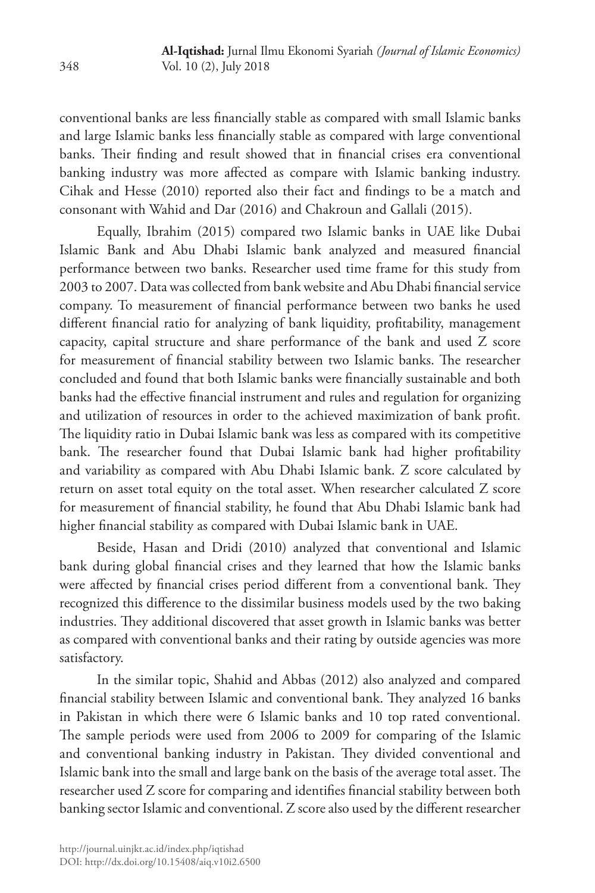conventional banks are less financially stable as compared with small Islamic banks and large Islamic banks less financially stable as compared with large conventional banks. Their finding and result showed that in financial crises era conventional banking industry was more affected as compare with Islamic banking industry. Cihak and Hesse (2010) reported also their fact and findings to be a match and consonant with Wahid and Dar (2016) and Chakroun and Gallali (2015).

Equally, Ibrahim (2015) compared two Islamic banks in UAE like Dubai Islamic Bank and Abu Dhabi Islamic bank analyzed and measured financial performance between two banks. Researcher used time frame for this study from 2003 to 2007. Data was collected from bank website and Abu Dhabi financial service company. To measurement of financial performance between two banks he used different financial ratio for analyzing of bank liquidity, profitability, management capacity, capital structure and share performance of the bank and used Z score for measurement of financial stability between two Islamic banks. The researcher concluded and found that both Islamic banks were financially sustainable and both banks had the effective financial instrument and rules and regulation for organizing and utilization of resources in order to the achieved maximization of bank profit. The liquidity ratio in Dubai Islamic bank was less as compared with its competitive bank. The researcher found that Dubai Islamic bank had higher profitability and variability as compared with Abu Dhabi Islamic bank. Z score calculated by return on asset total equity on the total asset. When researcher calculated Z score for measurement of financial stability, he found that Abu Dhabi Islamic bank had higher financial stability as compared with Dubai Islamic bank in UAE.

Beside, Hasan and Dridi (2010) analyzed that conventional and Islamic bank during global financial crises and they learned that how the Islamic banks were affected by financial crises period different from a conventional bank. They recognized this difference to the dissimilar business models used by the two baking industries. They additional discovered that asset growth in Islamic banks was better as compared with conventional banks and their rating by outside agencies was more satisfactory.

In the similar topic, Shahid and Abbas (2012) also analyzed and compared financial stability between Islamic and conventional bank. They analyzed 16 banks in Pakistan in which there were 6 Islamic banks and 10 top rated conventional. The sample periods were used from 2006 to 2009 for comparing of the Islamic and conventional banking industry in Pakistan. They divided conventional and Islamic bank into the small and large bank on the basis of the average total asset. The researcher used Z score for comparing and identifies financial stability between both banking sector Islamic and conventional. Z score also used by the different researcher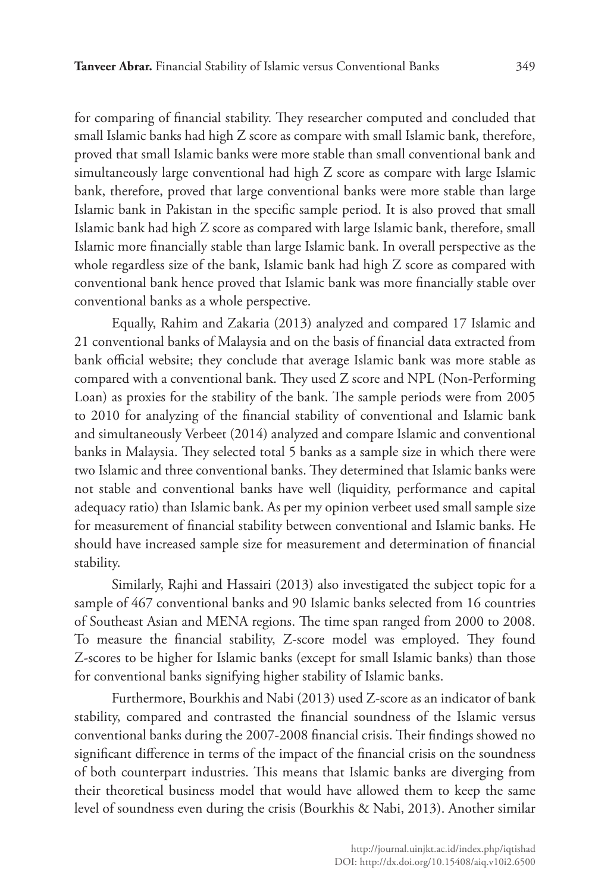for comparing of financial stability. They researcher computed and concluded that small Islamic banks had high Z score as compare with small Islamic bank, therefore, proved that small Islamic banks were more stable than small conventional bank and simultaneously large conventional had high Z score as compare with large Islamic bank, therefore, proved that large conventional banks were more stable than large Islamic bank in Pakistan in the specific sample period. It is also proved that small Islamic bank had high Z score as compared with large Islamic bank, therefore, small Islamic more financially stable than large Islamic bank. In overall perspective as the whole regardless size of the bank, Islamic bank had high Z score as compared with conventional bank hence proved that Islamic bank was more financially stable over conventional banks as a whole perspective.

Equally, Rahim and Zakaria (2013) analyzed and compared 17 Islamic and 21 conventional banks of Malaysia and on the basis of financial data extracted from bank official website; they conclude that average Islamic bank was more stable as compared with a conventional bank. They used Z score and NPL (Non-Performing Loan) as proxies for the stability of the bank. The sample periods were from 2005 to 2010 for analyzing of the financial stability of conventional and Islamic bank and simultaneously Verbeet (2014) analyzed and compare Islamic and conventional banks in Malaysia. They selected total 5 banks as a sample size in which there were two Islamic and three conventional banks. They determined that Islamic banks were not stable and conventional banks have well (liquidity, performance and capital adequacy ratio) than Islamic bank. As per my opinion verbeet used small sample size for measurement of financial stability between conventional and Islamic banks. He should have increased sample size for measurement and determination of financial stability.

Similarly, Rajhi and Hassairi (2013) also investigated the subject topic for a sample of 467 conventional banks and 90 Islamic banks selected from 16 countries of Southeast Asian and MENA regions. The time span ranged from 2000 to 2008. To measure the financial stability, Z-score model was employed. They found Z-scores to be higher for Islamic banks (except for small Islamic banks) than those for conventional banks signifying higher stability of Islamic banks.

Furthermore, Bourkhis and Nabi (2013) used Z-score as an indicator of bank stability, compared and contrasted the financial soundness of the Islamic versus conventional banks during the 2007-2008 financial crisis. Their findings showed no significant difference in terms of the impact of the financial crisis on the soundness of both counterpart industries. This means that Islamic banks are diverging from their theoretical business model that would have allowed them to keep the same level of soundness even during the crisis (Bourkhis & Nabi, 2013). Another similar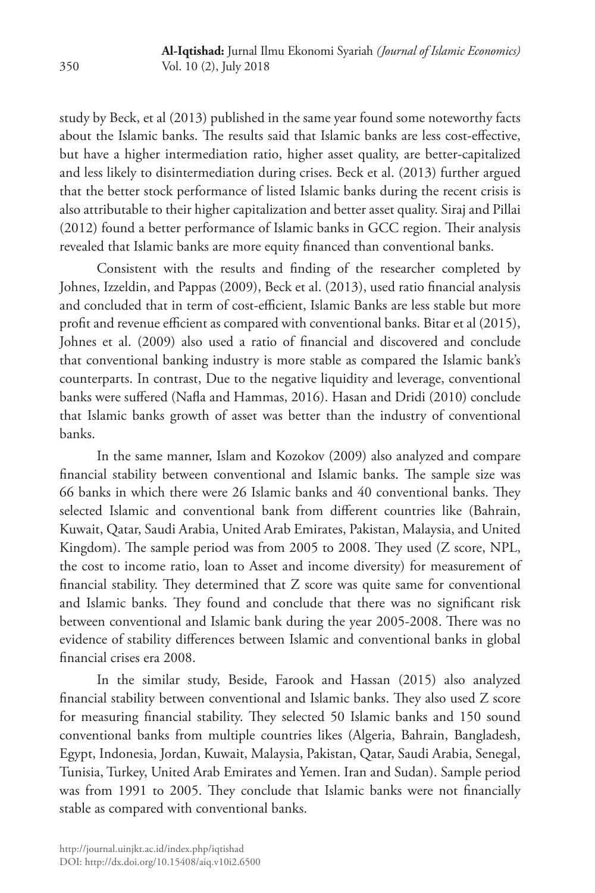study by Beck, et al (2013) published in the same year found some noteworthy facts about the Islamic banks. The results said that Islamic banks are less cost-effective, but have a higher intermediation ratio, higher asset quality, are better-capitalized and less likely to disintermediation during crises. Beck et al. (2013) further argued that the better stock performance of listed Islamic banks during the recent crisis is also attributable to their higher capitalization and better asset quality. Siraj and Pillai (2012) found a better performance of Islamic banks in GCC region. Their analysis revealed that Islamic banks are more equity financed than conventional banks.

Consistent with the results and finding of the researcher completed by Johnes, Izzeldin, and Pappas (2009), Beck et al. (2013), used ratio financial analysis and concluded that in term of cost-efficient, Islamic Banks are less stable but more profit and revenue efficient as compared with conventional banks. Bitar et al (2015), Johnes et al. (2009) also used a ratio of financial and discovered and conclude that conventional banking industry is more stable as compared the Islamic bank's counterparts. In contrast, Due to the negative liquidity and leverage, conventional banks were suffered (Nafla and Hammas, 2016). Hasan and Dridi (2010) conclude that Islamic banks growth of asset was better than the industry of conventional banks.

In the same manner, Islam and Kozokov (2009) also analyzed and compare financial stability between conventional and Islamic banks. The sample size was 66 banks in which there were 26 Islamic banks and 40 conventional banks. They selected Islamic and conventional bank from different countries like (Bahrain, Kuwait, Qatar, Saudi Arabia, United Arab Emirates, Pakistan, Malaysia, and United Kingdom). The sample period was from 2005 to 2008. They used (Z score, NPL, the cost to income ratio, loan to Asset and income diversity) for measurement of financial stability. They determined that Z score was quite same for conventional and Islamic banks. They found and conclude that there was no significant risk between conventional and Islamic bank during the year 2005-2008. There was no evidence of stability differences between Islamic and conventional banks in global financial crises era 2008.

In the similar study, Beside, Farook and Hassan (2015) also analyzed financial stability between conventional and Islamic banks. They also used Z score for measuring financial stability. They selected 50 Islamic banks and 150 sound conventional banks from multiple countries likes (Algeria, Bahrain, Bangladesh, Egypt, Indonesia, Jordan, Kuwait, Malaysia, Pakistan, Qatar, Saudi Arabia, Senegal, Tunisia, Turkey, United Arab Emirates and Yemen. Iran and Sudan). Sample period was from 1991 to 2005. They conclude that Islamic banks were not financially stable as compared with conventional banks.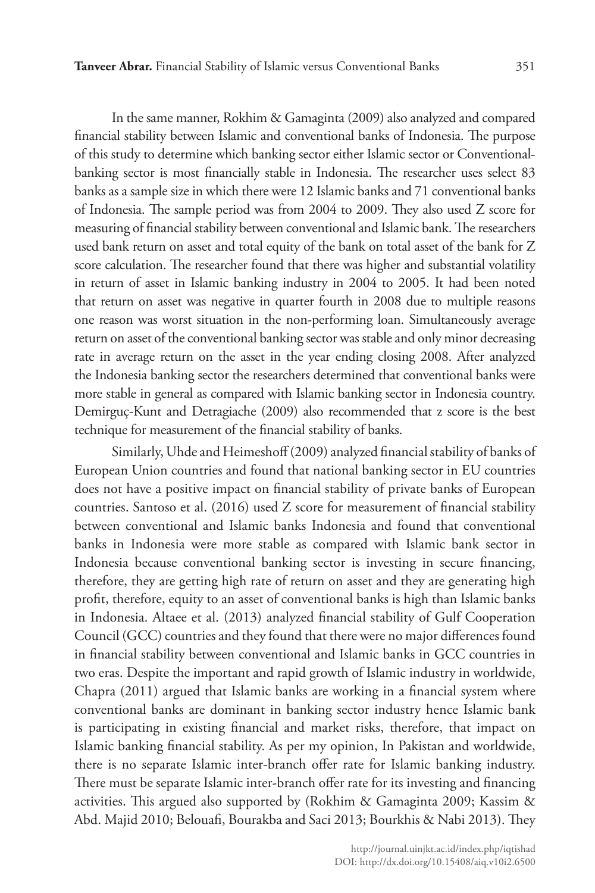In the same manner, Rokhim & Gamaginta (2009) also analyzed and compared financial stability between Islamic and conventional banks of Indonesia. The purpose of this study to determine which banking sector either Islamic sector or Conventionalbanking sector is most financially stable in Indonesia. The researcher uses select 83 banks as a sample size in which there were 12 Islamic banks and 71 conventional banks of Indonesia. The sample period was from 2004 to 2009. They also used Z score for measuring of financial stability between conventional and Islamic bank. The researchers used bank return on asset and total equity of the bank on total asset of the bank for Z score calculation. The researcher found that there was higher and substantial volatility in return of asset in Islamic banking industry in 2004 to 2005. It had been noted that return on asset was negative in quarter fourth in 2008 due to multiple reasons one reason was worst situation in the non-performing loan. Simultaneously average return on asset of the conventional banking sector was stable and only minor decreasing rate in average return on the asset in the year ending closing 2008. After analyzed the Indonesia banking sector the researchers determined that conventional banks were more stable in general as compared with Islamic banking sector in Indonesia country. Demirguç-Kunt and Detragiache (2009) also recommended that z score is the best technique for measurement of the financial stability of banks.

Similarly, Uhde and Heimeshoff (2009) analyzed financial stability of banks of European Union countries and found that national banking sector in EU countries does not have a positive impact on financial stability of private banks of European countries. Santoso et al. (2016) used Z score for measurement of financial stability between conventional and Islamic banks Indonesia and found that conventional banks in Indonesia were more stable as compared with Islamic bank sector in Indonesia because conventional banking sector is investing in secure financing, therefore, they are getting high rate of return on asset and they are generating high profit, therefore, equity to an asset of conventional banks is high than Islamic banks in Indonesia. Altaee et al. (2013) analyzed financial stability of Gulf Cooperation Council (GCC) countries and they found that there were no major differences found in financial stability between conventional and Islamic banks in GCC countries in two eras. Despite the important and rapid growth of Islamic industry in worldwide, Chapra (2011) argued that Islamic banks are working in a financial system where conventional banks are dominant in banking sector industry hence Islamic bank is participating in existing financial and market risks, therefore, that impact on Islamic banking financial stability. As per my opinion, In Pakistan and worldwide, there is no separate Islamic inter-branch offer rate for Islamic banking industry. There must be separate Islamic inter-branch offer rate for its investing and financing activities. This argued also supported by (Rokhim & Gamaginta 2009; Kassim & Abd. Majid 2010; Belouafi, Bourakba and Saci 2013; Bourkhis & Nabi 2013). They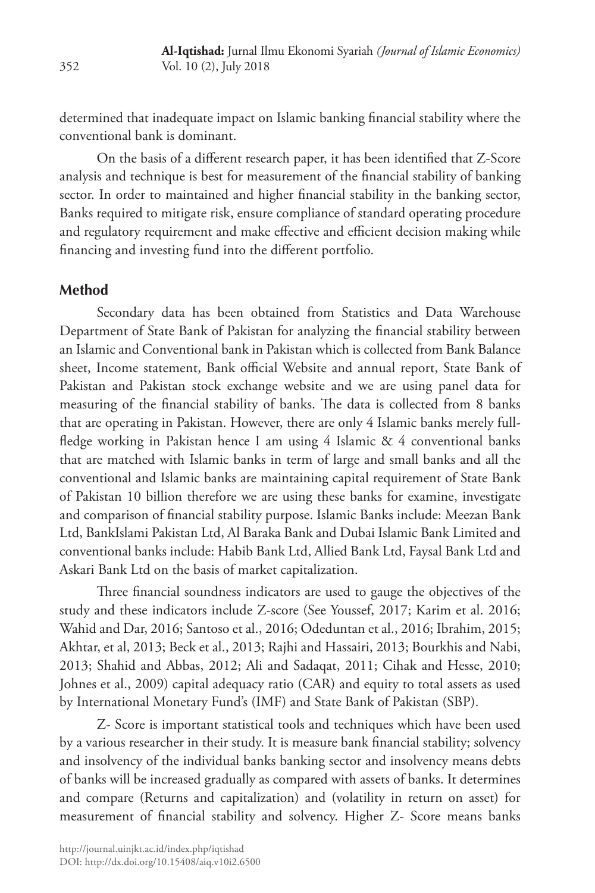determined that inadequate impact on Islamic banking financial stability where the conventional bank is dominant.

On the basis of a different research paper, it has been identified that Z-Score analysis and technique is best for measurement of the financial stability of banking sector. In order to maintained and higher financial stability in the banking sector, Banks required to mitigate risk, ensure compliance of standard operating procedure and regulatory requirement and make effective and efficient decision making while financing and investing fund into the different portfolio.

## **Method**

Secondary data has been obtained from Statistics and Data Warehouse Department of State Bank of Pakistan for analyzing the financial stability between an Islamic and Conventional bank in Pakistan which is collected from Bank Balance sheet, Income statement, Bank official Website and annual report, State Bank of Pakistan and Pakistan stock exchange website and we are using panel data for measuring of the financial stability of banks. The data is collected from 8 banks that are operating in Pakistan. However, there are only 4 Islamic banks merely fullfledge working in Pakistan hence I am using 4 Islamic & 4 conventional banks that are matched with Islamic banks in term of large and small banks and all the conventional and Islamic banks are maintaining capital requirement of State Bank of Pakistan 10 billion therefore we are using these banks for examine, investigate and comparison of financial stability purpose. Islamic Banks include: Meezan Bank Ltd, BankIslami Pakistan Ltd, Al Baraka Bank and Dubai Islamic Bank Limited and conventional banks include: Habib Bank Ltd, Allied Bank Ltd, Faysal Bank Ltd and Askari Bank Ltd on the basis of market capitalization.

Three financial soundness indicators are used to gauge the objectives of the study and these indicators include Z-score (See Youssef, 2017; Karim et al. 2016; Wahid and Dar, 2016; Santoso et al., 2016; Odeduntan et al., 2016; Ibrahim, 2015; Akhtar, et al, 2013; Beck et al., 2013; Rajhi and Hassairi, 2013; Bourkhis and Nabi, 2013; Shahid and Abbas, 2012; Ali and Sadaqat, 2011; Cihak and Hesse, 2010; Johnes et al., 2009) capital adequacy ratio (CAR) and equity to total assets as used by International Monetary Fund's (IMF) and State Bank of Pakistan (SBP).

Z- Score is important statistical tools and techniques which have been used by a various researcher in their study. It is measure bank financial stability; solvency and insolvency of the individual banks banking sector and insolvency means debts of banks will be increased gradually as compared with assets of banks. It determines and compare (Returns and capitalization) and (volatility in return on asset) for measurement of financial stability and solvency. Higher Z- Score means banks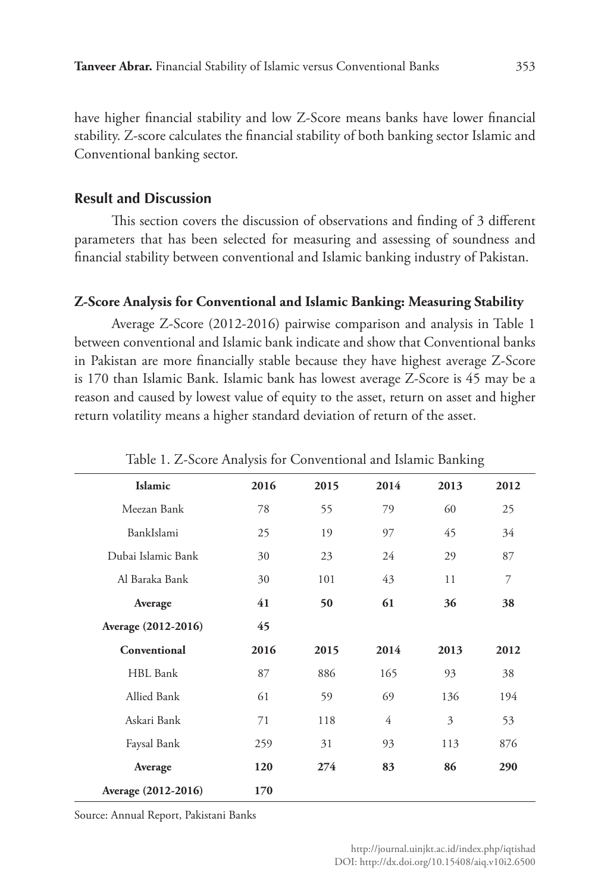have higher financial stability and low Z-Score means banks have lower financial stability. Z-score calculates the financial stability of both banking sector Islamic and Conventional banking sector.

# **Result and Discussion**

This section covers the discussion of observations and finding of 3 different parameters that has been selected for measuring and assessing of soundness and financial stability between conventional and Islamic banking industry of Pakistan.

# **Z-Score Analysis for Conventional and Islamic Banking: Measuring Stability**

Average Z-Score (2012-2016) pairwise comparison and analysis in Table 1 between conventional and Islamic bank indicate and show that Conventional banks in Pakistan are more financially stable because they have highest average Z-Score is 170 than Islamic Bank. Islamic bank has lowest average Z-Score is 45 may be a reason and caused by lowest value of equity to the asset, return on asset and higher return volatility means a higher standard deviation of return of the asset.

| Table 1. 2 Scote Analysis for Conventional and Islamic Danising |      |      |      |      |      |  |  |  |
|-----------------------------------------------------------------|------|------|------|------|------|--|--|--|
| Islamic                                                         | 2016 | 2015 | 2014 | 2013 | 2012 |  |  |  |
| Meezan Bank                                                     | 78   | 55   | 79   | 60   | 25   |  |  |  |
| BankIslami                                                      | 25   | 19   | 97   | 45   | 34   |  |  |  |
| Dubai Islamic Bank                                              | 30   | 23   | 24   | 29   | 87   |  |  |  |
| Al Baraka Bank                                                  | 30   | 101  | 43   | 11   | 7    |  |  |  |
| Average                                                         | 41   | 50   | 61   | 36   | 38   |  |  |  |
| Average (2012-2016)                                             | 45   |      |      |      |      |  |  |  |
| Conventional                                                    | 2016 | 2015 | 2014 | 2013 | 2012 |  |  |  |
| HBL Bank                                                        | 87   | 886  | 165  | 93   | 38   |  |  |  |
| Allied Bank                                                     | 61   | 59   | 69   | 136  | 194  |  |  |  |
| Askari Bank                                                     | 71   | 118  | 4    | 3    | 53   |  |  |  |
| Faysal Bank                                                     | 259  | 31   | 93   | 113  | 876  |  |  |  |
| Average                                                         | 120  | 274  | 83   | 86   | 290  |  |  |  |
| Average (2012-2016)                                             | 170  |      |      |      |      |  |  |  |

Table 1. Z-Score Analysis for Conventional and Islamic Banking

Source: Annual Report, Pakistani Banks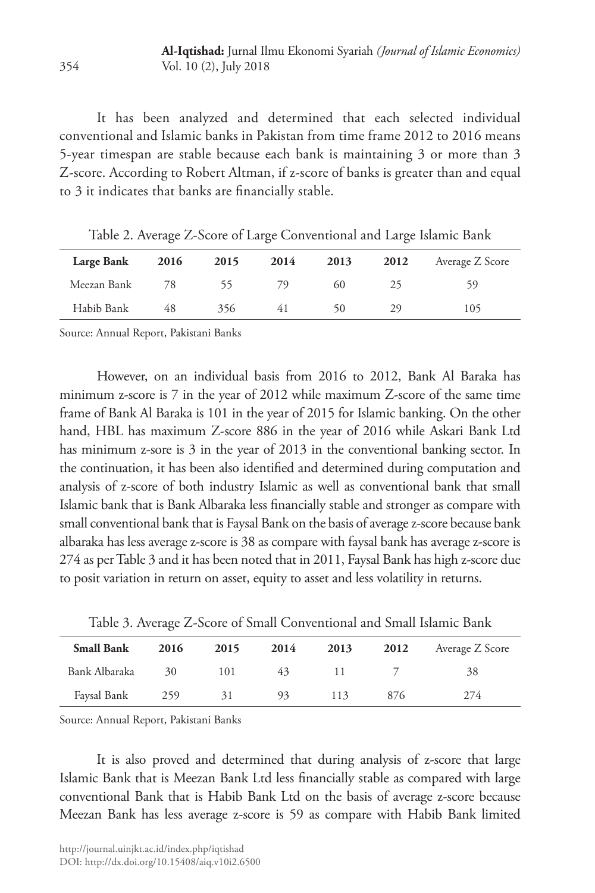It has been analyzed and determined that each selected individual conventional and Islamic banks in Pakistan from time frame 2012 to 2016 means 5-year timespan are stable because each bank is maintaining 3 or more than 3 Z-score. According to Robert Altman, if z-score of banks is greater than and equal to 3 it indicates that banks are financially stable.

| Large Bank  | 2016 | 2015 | 2014 | 2013 | 2012 | Average Z Score |
|-------------|------|------|------|------|------|-----------------|
| Meezan Bank | 78   | רר   | 79.  | 60   | 25   | 59              |
| Habib Bank  | 48   | 356  | 41   | 50   | 29   | 105             |

Table 2. Average Z-Score of Large Conventional and Large Islamic Bank

Source: Annual Report, Pakistani Banks

However, on an individual basis from 2016 to 2012, Bank Al Baraka has minimum z-score is 7 in the year of 2012 while maximum Z-score of the same time frame of Bank Al Baraka is 101 in the year of 2015 for Islamic banking. On the other hand, HBL has maximum Z-score 886 in the year of 2016 while Askari Bank Ltd has minimum z-sore is 3 in the year of 2013 in the conventional banking sector. In the continuation, it has been also identified and determined during computation and analysis of z-score of both industry Islamic as well as conventional bank that small Islamic bank that is Bank Albaraka less financially stable and stronger as compare with small conventional bank that is Faysal Bank on the basis of average z-score because bank albaraka has less average z-score is 38 as compare with faysal bank has average z-score is 274 as per Table 3 and it has been noted that in 2011, Faysal Bank has high z-score due to posit variation in return on asset, equity to asset and less volatility in returns.

Table 3. Average Z-Score of Small Conventional and Small Islamic Bank

| <b>Small Bank</b> | 2016 | 2015 | 2014 | 2013 | 2012 | Average Z Score |
|-------------------|------|------|------|------|------|-----------------|
| Bank Albaraka     | 30   | 101  | 43   |      |      | 38              |
| Faysal Bank       | 259  | 31   | 93   | 113  | 876  | 274             |

Source: Annual Report, Pakistani Banks

It is also proved and determined that during analysis of z-score that large Islamic Bank that is Meezan Bank Ltd less financially stable as compared with large conventional Bank that is Habib Bank Ltd on the basis of average z-score because Meezan Bank has less average z-score is 59 as compare with Habib Bank limited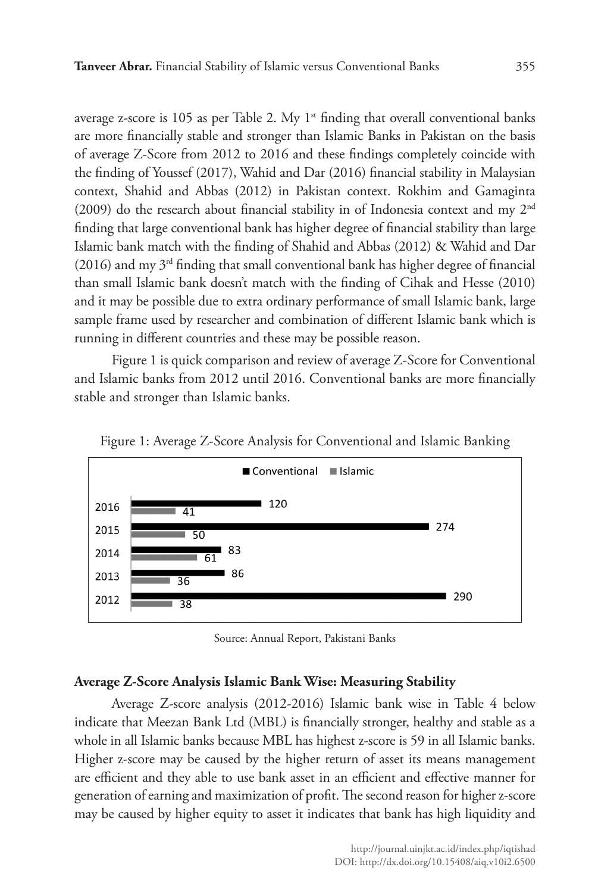average z-score is 105 as per Table 2. My  $1<sup>st</sup>$  finding that overall conventional banks are more financially stable and stronger than Islamic Banks in Pakistan on the basis of average Z-Score from 2012 to 2016 and these findings completely coincide with the finding of Youssef (2017), Wahid and Dar (2016) financial stability in Malaysian context, Shahid and Abbas (2012) in Pakistan context. Rokhim and Gamaginta  $(2009)$  do the research about financial stability in of Indonesia context and my  $2<sup>nd</sup>$ finding that large conventional bank has higher degree of financial stability than large Islamic bank match with the finding of Shahid and Abbas (2012) & Wahid and Dar (2016) and my  $3<sup>rd</sup>$  finding that small conventional bank has higher degree of financial than small Islamic bank doesn't match with the finding of Cihak and Hesse (2010) and it may be possible due to extra ordinary performance of small Islamic bank, large sample frame used by researcher and combination of different Islamic bank which is running in different countries and these may be possible reason.

Figure 1 is quick comparison and review of average Z-Score for Conventional and Islamic banks from 2012 until 2016. Conventional banks are more financially stable and stronger than Islamic banks.



Figure 1: Average Z-Score Analysis for Conventional and Islamic Banking

Source: Annual Report, Pakistani Banks

## **Average Z-Score Analysis Islamic Bank Wise: Measuring Stability**

Average Z-score analysis (2012-2016) Islamic bank wise in Table 4 below indicate that Meezan Bank Ltd (MBL) is financially stronger, healthy and stable as a whole in all Islamic banks because MBL has highest z-score is 59 in all Islamic banks. Higher z-score may be caused by the higher return of asset its means management are efficient and they able to use bank asset in an efficient and effective manner for generation of earning and maximization of profit. The second reason for higher z-score may be caused by higher equity to asset it indicates that bank has high liquidity and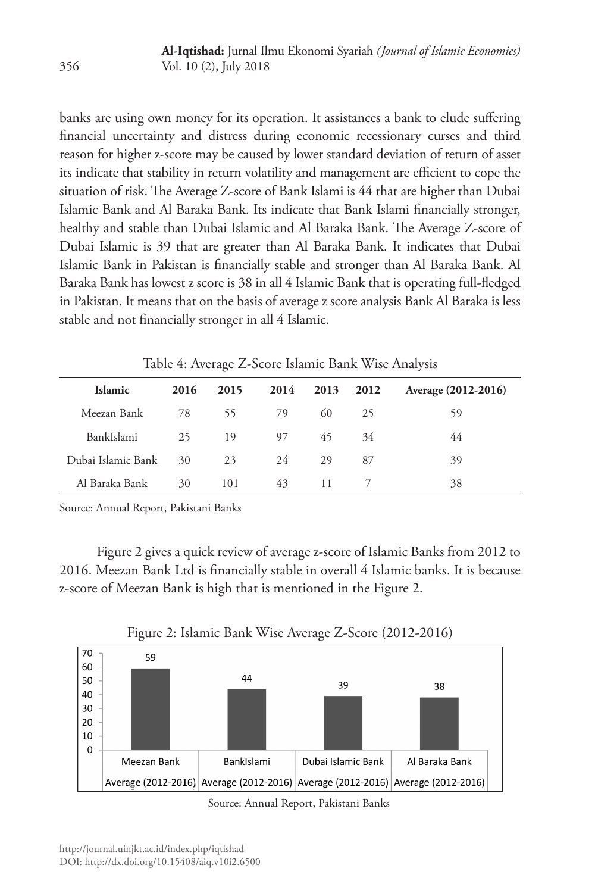banks are using own money for its operation. It assistances a bank to elude suffering financial uncertainty and distress during economic recessionary curses and third reason for higher z-score may be caused by lower standard deviation of return of asset its indicate that stability in return volatility and management are efficient to cope the situation of risk. The Average Z-score of Bank Islami is 44 that are higher than Dubai Islamic Bank and Al Baraka Bank. Its indicate that Bank Islami financially stronger, healthy and stable than Dubai Islamic and Al Baraka Bank. The Average Z-score of Dubai Islamic is 39 that are greater than Al Baraka Bank. It indicates that Dubai Islamic Bank in Pakistan is financially stable and stronger than Al Baraka Bank. Al Baraka Bank has lowest z score is 38 in all 4 Islamic Bank that is operating full-fledged in Pakistan. It means that on the basis of average z score analysis Bank Al Baraka is less stable and not financially stronger in all 4 Islamic.

| Islamic            | 2016 | 2015 | 2014 | 2013 | 2012 | Average (2012-2016) |
|--------------------|------|------|------|------|------|---------------------|
| Meezan Bank        | 78   | 55   | 79   | 60   | 25   | 59                  |
| BankIslami         | 25   | 19   | 97   | 45   | 34   | 44                  |
| Dubai Islamic Bank | 30   | 23   | 24   | 29   | 87   | 39                  |
| Al Baraka Bank     | 30   | 101  | 43   | 11   |      | 38                  |

Table 4: Average Z-Score Islamic Bank Wise Analysis

Source: Annual Report, Pakistani Banks

Figure 2 gives a quick review of average z-score of Islamic Banks from 2012 to 2016. Meezan Bank Ltd is financially stable in overall 4 Islamic banks. It is because z-score of Meezan Bank is high that is mentioned in the Figure 2.



Figure 2: Islamic Bank Wise Average Z-Score (2012-2016)

Source: Annual Report, Pakistani Banks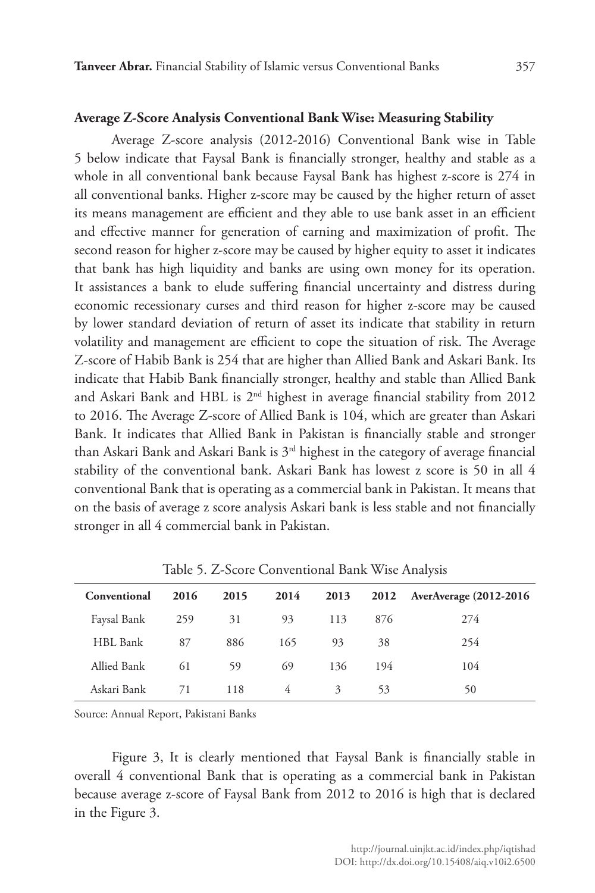#### **Average Z-Score Analysis Conventional Bank Wise: Measuring Stability**

Average Z-score analysis (2012-2016) Conventional Bank wise in Table 5 below indicate that Faysal Bank is financially stronger, healthy and stable as a whole in all conventional bank because Faysal Bank has highest z-score is 274 in all conventional banks. Higher z-score may be caused by the higher return of asset its means management are efficient and they able to use bank asset in an efficient and effective manner for generation of earning and maximization of profit. The second reason for higher z-score may be caused by higher equity to asset it indicates that bank has high liquidity and banks are using own money for its operation. It assistances a bank to elude suffering financial uncertainty and distress during economic recessionary curses and third reason for higher z-score may be caused by lower standard deviation of return of asset its indicate that stability in return volatility and management are efficient to cope the situation of risk. The Average Z-score of Habib Bank is 254 that are higher than Allied Bank and Askari Bank. Its indicate that Habib Bank financially stronger, healthy and stable than Allied Bank and Askari Bank and HBL is 2nd highest in average financial stability from 2012 to 2016. The Average Z-score of Allied Bank is 104, which are greater than Askari Bank. It indicates that Allied Bank in Pakistan is financially stable and stronger than Askari Bank and Askari Bank is  $3<sup>rd</sup>$  highest in the category of average financial stability of the conventional bank. Askari Bank has lowest z score is 50 in all 4 conventional Bank that is operating as a commercial bank in Pakistan. It means that on the basis of average z score analysis Askari bank is less stable and not financially stronger in all 4 commercial bank in Pakistan.

| Conventional | 2016 | 2015 | 2014 | 2013 | 2012 | <b>AverAverage (2012-2016)</b> |
|--------------|------|------|------|------|------|--------------------------------|
| Faysal Bank  | 259  | 31   | 93   | 113  | 876  | 274                            |
| HBL Bank     | 87   | 886  | 165  | 93   | 38   | 254                            |
| Allied Bank  | 61   | 59   | 69   | 136  | 194  | 104                            |
| Askari Bank  | 71   | 118  | 4    | 3    | 53   | 50                             |

Table 5. Z-Score Conventional Bank Wise Analysis

Source: Annual Report, Pakistani Banks

Figure 3, It is clearly mentioned that Faysal Bank is financially stable in overall 4 conventional Bank that is operating as a commercial bank in Pakistan because average z-score of Faysal Bank from 2012 to 2016 is high that is declared in the Figure 3.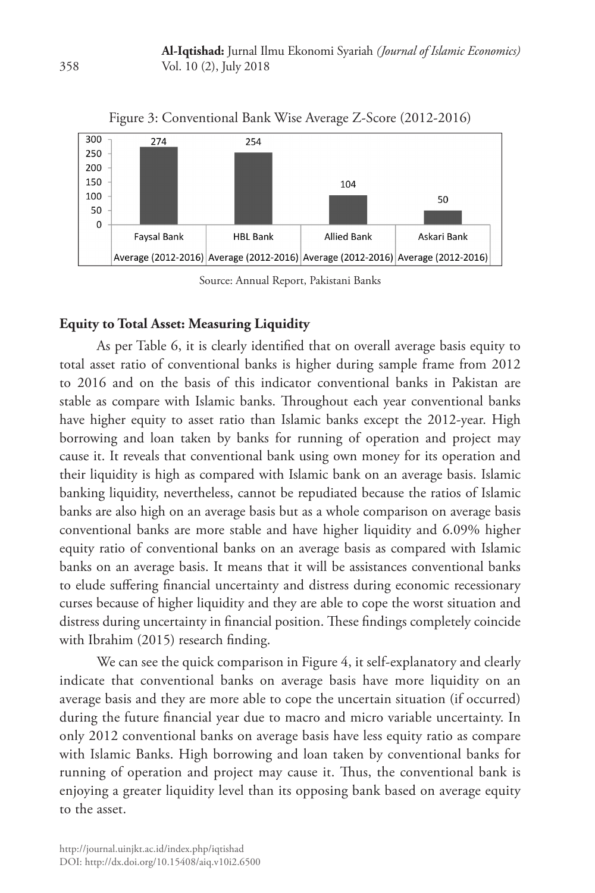

Figure 3: Conventional Bank Wise Average Z-Score (2012-2016)

## **Equity to Total Asset: Measuring Liquidity**

As per Table 6, it is clearly identified that on overall average basis equity to total asset ratio of conventional banks is higher during sample frame from 2012 to 2016 and on the basis of this indicator conventional banks in Pakistan are stable as compare with Islamic banks. Throughout each year conventional banks have higher equity to asset ratio than Islamic banks except the 2012-year. High borrowing and loan taken by banks for running of operation and project may cause it. It reveals that conventional bank using own money for its operation and their liquidity is high as compared with Islamic bank on an average basis. Islamic banking liquidity, nevertheless, cannot be repudiated because the ratios of Islamic banks are also high on an average basis but as a whole comparison on average basis conventional banks are more stable and have higher liquidity and 6.09% higher equity ratio of conventional banks on an average basis as compared with Islamic banks on an average basis. It means that it will be assistances conventional banks to elude suffering financial uncertainty and distress during economic recessionary curses because of higher liquidity and they are able to cope the worst situation and distress during uncertainty in financial position. These findings completely coincide with Ibrahim (2015) research finding.

We can see the quick comparison in Figure 4, it self-explanatory and clearly indicate that conventional banks on average basis have more liquidity on an average basis and they are more able to cope the uncertain situation (if occurred) during the future financial year due to macro and micro variable uncertainty. In only 2012 conventional banks on average basis have less equity ratio as compare with Islamic Banks. High borrowing and loan taken by conventional banks for running of operation and project may cause it. Thus, the conventional bank is enjoying a greater liquidity level than its opposing bank based on average equity to the asset.

Source: Annual Report, Pakistani Banks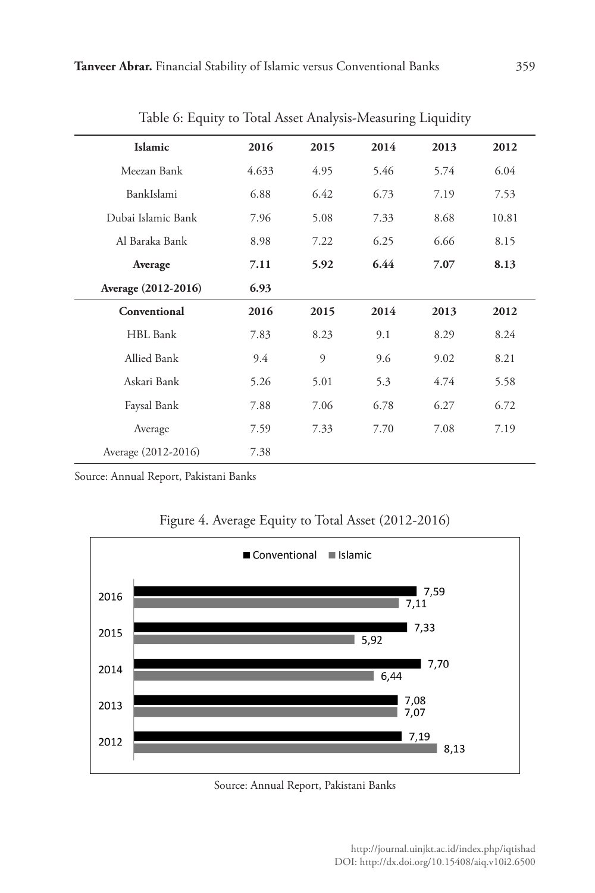| Islamic             | 2016  | 2015 | 2014 | 2013 | 2012  |
|---------------------|-------|------|------|------|-------|
| Meezan Bank         | 4.633 | 4.95 | 5.46 | 5.74 | 6.04  |
| BankIslami          | 6.88  | 6.42 | 6.73 | 7.19 | 7.53  |
| Dubai Islamic Bank  | 7.96  | 5.08 | 7.33 | 8.68 | 10.81 |
| Al Baraka Bank      | 8.98  | 7.22 | 6.25 | 6.66 | 8.15  |
| Average             | 7.11  | 5.92 | 6.44 | 7.07 | 8.13  |
| Average (2012-2016) | 6.93  |      |      |      |       |
| Conventional        | 2016  | 2015 | 2014 | 2013 | 2012  |
| HBL Bank            | 7.83  | 8.23 | 9.1  | 8.29 | 8.24  |
| <b>Allied Bank</b>  | 9.4   | 9    | 9.6  | 9.02 | 8.21  |
| Askari Bank         | 5.26  | 5.01 | 5.3  | 4.74 | 5.58  |
| Faysal Bank         | 7.88  | 7.06 | 6.78 | 6.27 | 6.72  |
| Average             | 7.59  | 7.33 | 7.70 | 7.08 | 7.19  |
| Average (2012-2016) | 7.38  |      |      |      |       |

Table 6: Equity to Total Asset Analysis-Measuring Liquidity

Source: Annual Report, Pakistani Banks





#### Source: Annual Report, Pakistani Banks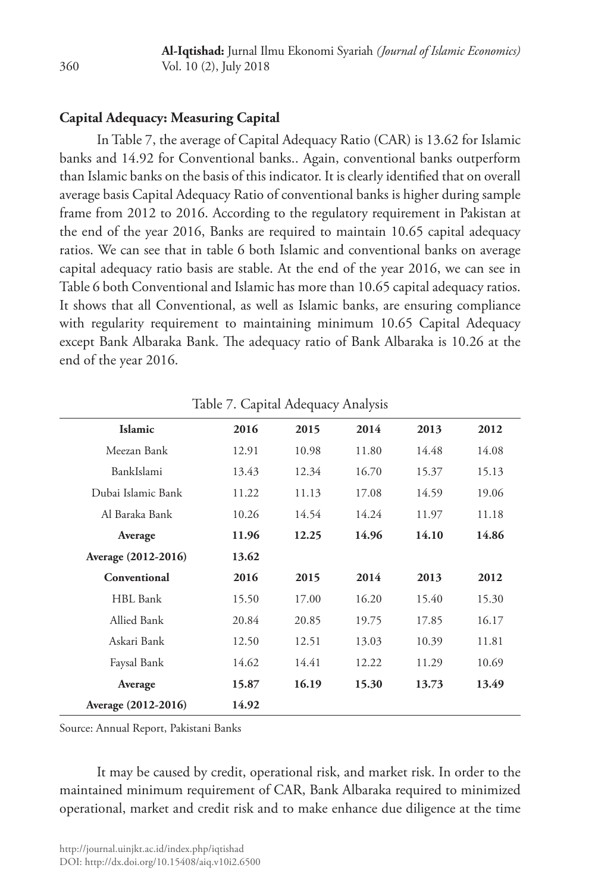# **Capital Adequacy: Measuring Capital**

In Table 7, the average of Capital Adequacy Ratio (CAR) is 13.62 for Islamic banks and 14.92 for Conventional banks.. Again, conventional banks outperform than Islamic banks on the basis of this indicator. It is clearly identified that on overall average basis Capital Adequacy Ratio of conventional banks is higher during sample frame from 2012 to 2016. According to the regulatory requirement in Pakistan at the end of the year 2016, Banks are required to maintain 10.65 capital adequacy ratios. We can see that in table 6 both Islamic and conventional banks on average capital adequacy ratio basis are stable. At the end of the year 2016, we can see in Table 6 both Conventional and Islamic has more than 10.65 capital adequacy ratios. It shows that all Conventional, as well as Islamic banks, are ensuring compliance with regularity requirement to maintaining minimum 10.65 Capital Adequacy except Bank Albaraka Bank. The adequacy ratio of Bank Albaraka is 10.26 at the end of the year 2016.

| Islamic             | 2016  | 2015  | 2014  | 2013  | 2012  |
|---------------------|-------|-------|-------|-------|-------|
| Meezan Bank         | 12.91 | 10.98 | 11.80 | 14.48 | 14.08 |
| BankIslami          | 13.43 | 12.34 | 16.70 | 15.37 | 15.13 |
| Dubai Islamic Bank  | 11.22 | 11.13 | 17.08 | 14.59 | 19.06 |
| Al Baraka Bank      | 10.26 | 14.54 | 14.24 | 11.97 | 11.18 |
| Average             | 11.96 | 12.25 | 14.96 | 14.10 | 14.86 |
| Average (2012-2016) | 13.62 |       |       |       |       |
| Conventional        | 2016  | 2015  | 2014  | 2013  | 2012  |
| HBL Bank            | 15.50 | 17.00 | 16.20 | 15.40 | 15.30 |
| Allied Bank         | 20.84 | 20.85 | 19.75 | 17.85 | 16.17 |
| Askari Bank         | 12.50 | 12.51 | 13.03 | 10.39 | 11.81 |
| Faysal Bank         | 14.62 | 14.41 | 12.22 | 11.29 | 10.69 |
| Average             | 15.87 | 16.19 | 15.30 | 13.73 | 13.49 |
| Average (2012-2016) | 14.92 |       |       |       |       |

Table 7. Capital Adequacy Analysis

Source: Annual Report, Pakistani Banks

It may be caused by credit, operational risk, and market risk. In order to the maintained minimum requirement of CAR, Bank Albaraka required to minimized operational, market and credit risk and to make enhance due diligence at the time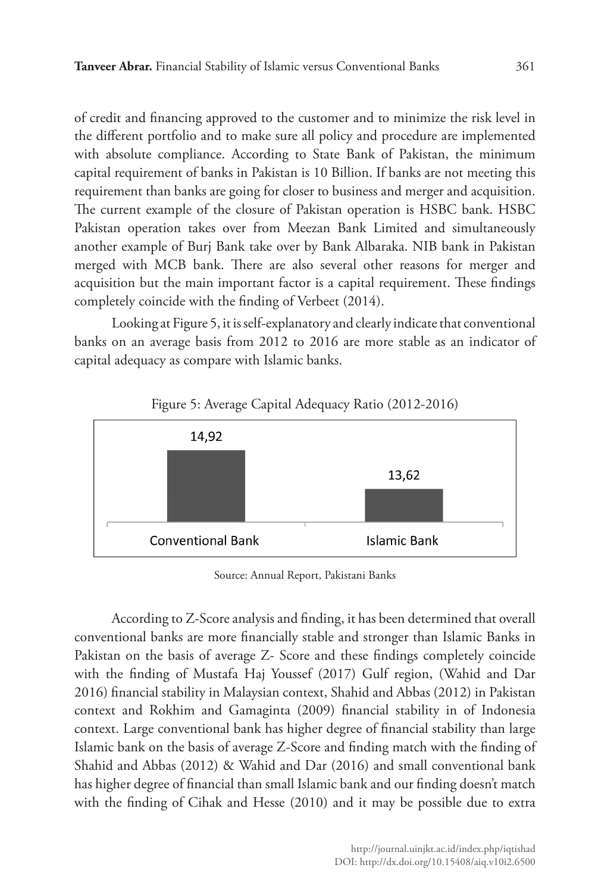of credit and financing approved to the customer and to minimize the risk level in the different portfolio and to make sure all policy and procedure are implemented with absolute compliance. According to State Bank of Pakistan, the minimum capital requirement of banks in Pakistan is 10 Billion. If banks are not meeting this requirement than banks are going for closer to business and merger and acquisition. The current example of the closure of Pakistan operation is HSBC bank. HSBC Pakistan operation takes over from Meezan Bank Limited and simultaneously another example of Burj Bank take over by Bank Albaraka. NIB bank in Pakistan merged with MCB bank. There are also several other reasons for merger and acquisition but the main important factor is a capital requirement. These findings completely coincide with the finding of Verbeet (2014).

Looking at Figure 5, it is self-explanatory and clearly indicate that conventional banks on an average basis from 2012 to 2016 are more stable as an indicator of capital adequacy as compare with Islamic banks.



# Figure 5: Average Capital Adequacy Ratio (2012-2016)

Source: Annual Report, Pakistani Banks

According to Z-Score analysis and finding, it has been determined that overall conventional banks are more financially stable and stronger than Islamic Banks in Pakistan on the basis of average Z- Score and these findings completely coincide with the finding of Mustafa Haj Youssef (2017) Gulf region, (Wahid and Dar 2016) financial stability in Malaysian context, Shahid and Abbas (2012) in Pakistan context and Rokhim and Gamaginta (2009) financial stability in of Indonesia context. Large conventional bank has higher degree of financial stability than large Islamic bank on the basis of average Z-Score and finding match with the finding of Shahid and Abbas (2012) & Wahid and Dar (2016) and small conventional bank has higher degree of financial than small Islamic bank and our finding doesn't match with the finding of Cihak and Hesse (2010) and it may be possible due to extra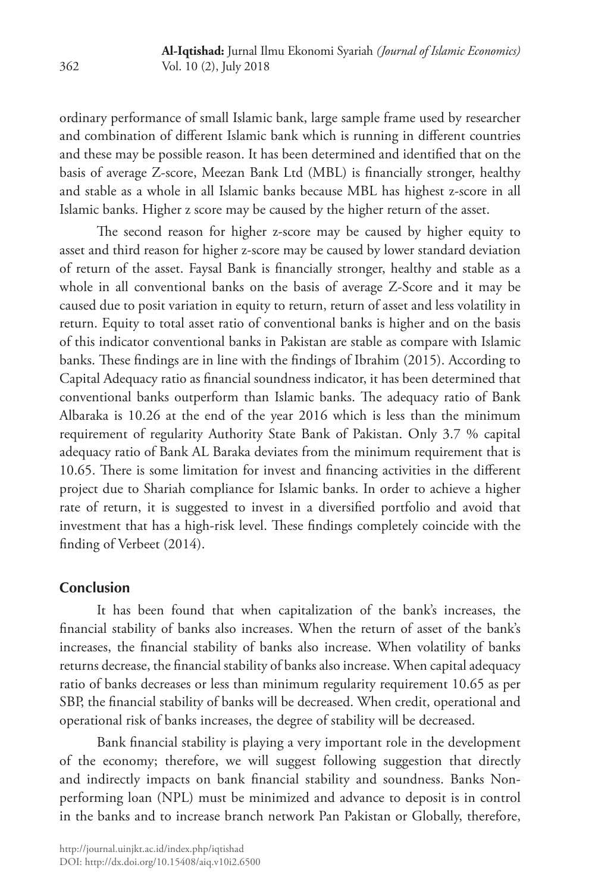ordinary performance of small Islamic bank, large sample frame used by researcher and combination of different Islamic bank which is running in different countries and these may be possible reason. It has been determined and identified that on the basis of average Z-score, Meezan Bank Ltd (MBL) is financially stronger, healthy and stable as a whole in all Islamic banks because MBL has highest z-score in all Islamic banks. Higher z score may be caused by the higher return of the asset.

The second reason for higher z-score may be caused by higher equity to asset and third reason for higher z-score may be caused by lower standard deviation of return of the asset. Faysal Bank is financially stronger, healthy and stable as a whole in all conventional banks on the basis of average Z-Score and it may be caused due to posit variation in equity to return, return of asset and less volatility in return. Equity to total asset ratio of conventional banks is higher and on the basis of this indicator conventional banks in Pakistan are stable as compare with Islamic banks. These findings are in line with the findings of Ibrahim (2015). According to Capital Adequacy ratio as financial soundness indicator, it has been determined that conventional banks outperform than Islamic banks. The adequacy ratio of Bank Albaraka is 10.26 at the end of the year 2016 which is less than the minimum requirement of regularity Authority State Bank of Pakistan. Only 3.7 % capital adequacy ratio of Bank AL Baraka deviates from the minimum requirement that is 10.65. There is some limitation for invest and financing activities in the different project due to Shariah compliance for Islamic banks. In order to achieve a higher rate of return, it is suggested to invest in a diversified portfolio and avoid that investment that has a high-risk level. These findings completely coincide with the finding of Verbeet (2014).

## **Conclusion**

It has been found that when capitalization of the bank's increases, the financial stability of banks also increases. When the return of asset of the bank's increases, the financial stability of banks also increase. When volatility of banks returns decrease, the financial stability of banks also increase. When capital adequacy ratio of banks decreases or less than minimum regularity requirement 10.65 as per SBP, the financial stability of banks will be decreased. When credit, operational and operational risk of banks increases, the degree of stability will be decreased.

Bank financial stability is playing a very important role in the development of the economy; therefore, we will suggest following suggestion that directly and indirectly impacts on bank financial stability and soundness. Banks Nonperforming loan (NPL) must be minimized and advance to deposit is in control in the banks and to increase branch network Pan Pakistan or Globally, therefore,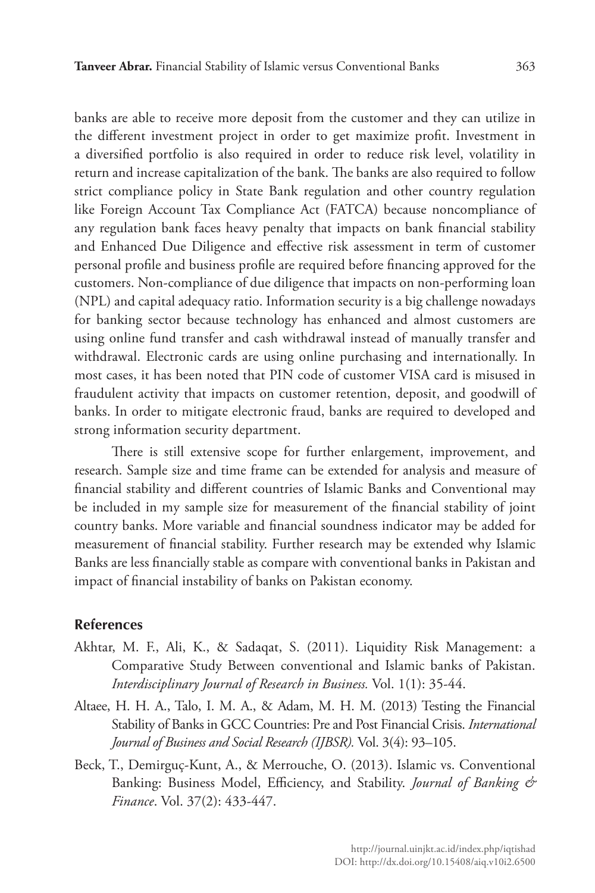banks are able to receive more deposit from the customer and they can utilize in the different investment project in order to get maximize profit. Investment in a diversified portfolio is also required in order to reduce risk level, volatility in return and increase capitalization of the bank. The banks are also required to follow strict compliance policy in State Bank regulation and other country regulation like Foreign Account Tax Compliance Act (FATCA) because noncompliance of any regulation bank faces heavy penalty that impacts on bank financial stability and Enhanced Due Diligence and effective risk assessment in term of customer personal profile and business profile are required before financing approved for the customers. Non-compliance of due diligence that impacts on non-performing loan (NPL) and capital adequacy ratio. Information security is a big challenge nowadays for banking sector because technology has enhanced and almost customers are using online fund transfer and cash withdrawal instead of manually transfer and withdrawal. Electronic cards are using online purchasing and internationally. In most cases, it has been noted that PIN code of customer VISA card is misused in fraudulent activity that impacts on customer retention, deposit, and goodwill of banks. In order to mitigate electronic fraud, banks are required to developed and strong information security department.

There is still extensive scope for further enlargement, improvement, and research. Sample size and time frame can be extended for analysis and measure of financial stability and different countries of Islamic Banks and Conventional may be included in my sample size for measurement of the financial stability of joint country banks. More variable and financial soundness indicator may be added for measurement of financial stability. Further research may be extended why Islamic Banks are less financially stable as compare with conventional banks in Pakistan and impact of financial instability of banks on Pakistan economy.

## **References**

- Akhtar, M. F., Ali, K., & Sadaqat, S. (2011). Liquidity Risk Management: a Comparative Study Between conventional and Islamic banks of Pakistan. *Interdisciplinary Journal of Research in Business.* Vol. 1(1): 35-44.
- Altaee, H. H. A., Talo, I. M. A., & Adam, M. H. M. (2013) Testing the Financial Stability of Banks in GCC Countries: Pre and Post Financial Crisis. *International Journal of Business and Social Research (IJBSR).* Vol. 3(4): 93–105.
- Beck, T., Demirguç-Kunt, A., & Merrouche, O. (2013). Islamic vs. Conventional Banking: Business Model, Efficiency, and Stability. *Journal of Banking & Finance*. Vol. 37(2): 433-447.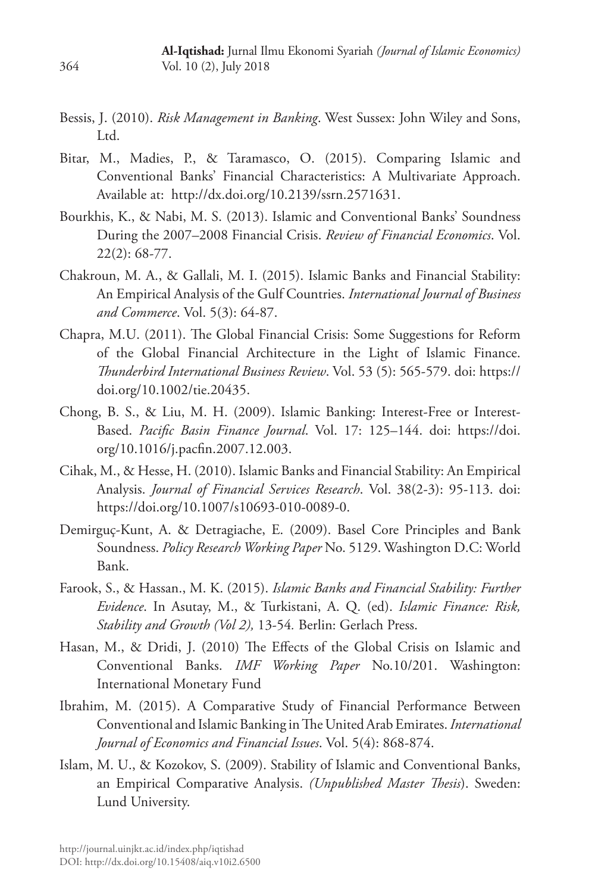- Bessis, J. (2010). *Risk Management in Banking*. West Sussex: John Wiley and Sons, Ltd.
- Bitar, M., Madies, P., & Taramasco, O. (2015). Comparing Islamic and Conventional Banks' Financial Characteristics: A Multivariate Approach. Available at: http://dx.doi.org/10.2139/ssrn.2571631.
- Bourkhis, K., & Nabi, M. S. (2013). Islamic and Conventional Banks' Soundness During the 2007–2008 Financial Crisis. *Review of Financial Economics*. Vol. 22(2): 68-77.
- Chakroun, M. A., & Gallali, M. I. (2015). Islamic Banks and Financial Stability: An Empirical Analysis of the Gulf Countries. *International Journal of Business and Commerce*. Vol. 5(3): 64-87.
- Chapra, M.U. (2011). The Global Financial Crisis: Some Suggestions for Reform of the Global Financial Architecture in the Light of Islamic Finance. *Thunderbird International Business Review*. Vol. 53 (5): 565-579. doi: https:// doi.org/10.1002/tie.20435.
- Chong, B. S., & Liu, M. H. (2009). Islamic Banking: Interest-Free or Interest-Based. *Pacific Basin Finance Journal*. Vol. 17: 125–144. doi: https://doi. org/10.1016/j.pacfin.2007.12.003.
- Cihak, M., & Hesse, H. (2010). Islamic Banks and Financial Stability: An Empirical Analysis. *Journal of Financial Services Research*. Vol. 38(2-3): 95-113. doi: https://doi.org/10.1007/s10693-010-0089-0.
- Demirguç-Kunt, A. & Detragiache, E. (2009). Basel Core Principles and Bank Soundness. *Policy Research Working Paper* No. 5129. Washington D.C: World Bank.
- Farook, S., & Hassan., M. K. (2015). *Islamic Banks and Financial Stability: Further Evidence*. In Asutay, M., & Turkistani, A. Q. (ed). *Islamic Finance: Risk, Stability and Growth (Vol 2),* 13-54*.* Berlin: Gerlach Press.
- Hasan, M., & Dridi, J. (2010) The Effects of the Global Crisis on Islamic and Conventional Banks. *IMF Working Paper* No.10/201. Washington: International Monetary Fund
- Ibrahim, M. (2015). A Comparative Study of Financial Performance Between Conventional and Islamic Banking in The United Arab Emirates. *International Journal of Economics and Financial Issues*. Vol. 5(4): 868-874.
- Islam, M. U., & Kozokov, S. (2009). Stability of Islamic and Conventional Banks, an Empirical Comparative Analysis. *(Unpublished Master Thesis*). Sweden: Lund University.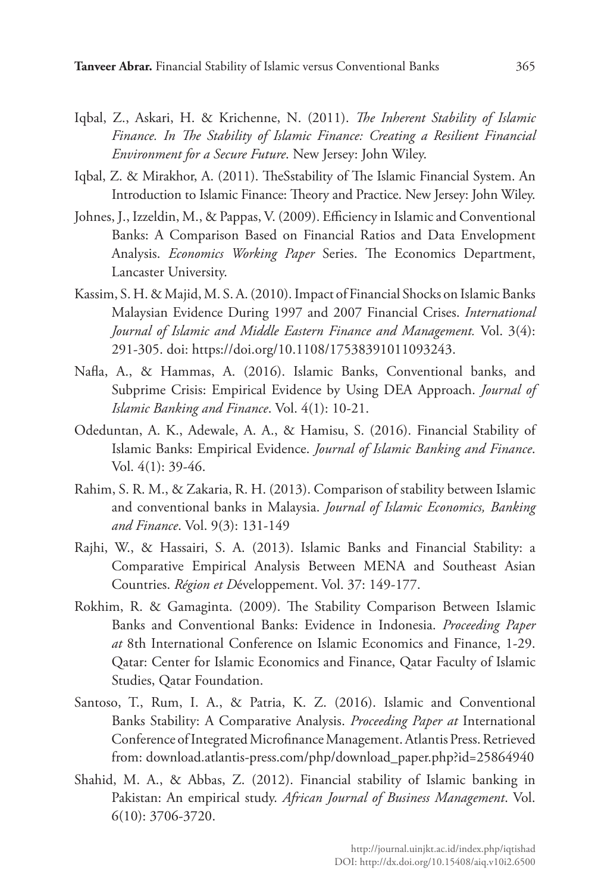- Iqbal, Z., Askari, H. & Krichenne, N. (2011). *The Inherent Stability of Islamic Finance. In The Stability of Islamic Finance: Creating a Resilient Financial Environment for a Secure Future*. New Jersey: John Wiley.
- Iqbal, Z. & Mirakhor, A. (2011). TheSstability of The Islamic Financial System. An Introduction to Islamic Finance: Theory and Practice. New Jersey: John Wiley.
- Johnes, J., Izzeldin, M., & Pappas, V. (2009). Efficiency in Islamic and Conventional Banks: A Comparison Based on Financial Ratios and Data Envelopment Analysis. *Economics Working Paper* Series. The Economics Department, Lancaster University.
- Kassim, S. H. & Majid, M. S. A. (2010). Impact of Financial Shocks on Islamic Banks Malaysian Evidence During 1997 and 2007 Financial Crises. *International Journal of Islamic and Middle Eastern Finance and Management.* Vol. 3(4): 291-305. doi: https://doi.org/10.1108/17538391011093243.
- Nafla, A., & Hammas, A. (2016). Islamic Banks, Conventional banks, and Subprime Crisis: Empirical Evidence by Using DEA Approach. *Journal of Islamic Banking and Finance*. Vol. 4(1): 10-21.
- Odeduntan, A. K., Adewale, A. A., & Hamisu, S. (2016). Financial Stability of Islamic Banks: Empirical Evidence. *Journal of Islamic Banking and Finance*. Vol. 4(1): 39-46.
- Rahim, S. R. M., & Zakaria, R. H. (2013). Comparison of stability between Islamic and conventional banks in Malaysia. *Journal of Islamic Economics, Banking and Finance*. Vol. 9(3): 131-149
- Rajhi, W., & Hassairi, S. A. (2013). Islamic Banks and Financial Stability: a Comparative Empirical Analysis Between MENA and Southeast Asian Countries. *Région et D*éveloppement. Vol. 37: 149-177.
- Rokhim, R. & Gamaginta. (2009). The Stability Comparison Between Islamic Banks and Conventional Banks: Evidence in Indonesia. *Proceeding Paper at* 8th International Conference on Islamic Economics and Finance, 1-29. Qatar: Center for Islamic Economics and Finance, Qatar Faculty of Islamic Studies, Qatar Foundation.
- Santoso, T., Rum, I. A., & Patria, K. Z. (2016). Islamic and Conventional Banks Stability: A Comparative Analysis. *Proceeding Paper at* International Conference of Integrated Microfinance Management. Atlantis Press. Retrieved from: download.atlantis-press.com/php/download\_paper.php?id=25864940
- Shahid, M. A., & Abbas, Z. (2012). Financial stability of Islamic banking in Pakistan: An empirical study. *African Journal of Business Management*. Vol. 6(10): 3706-3720.